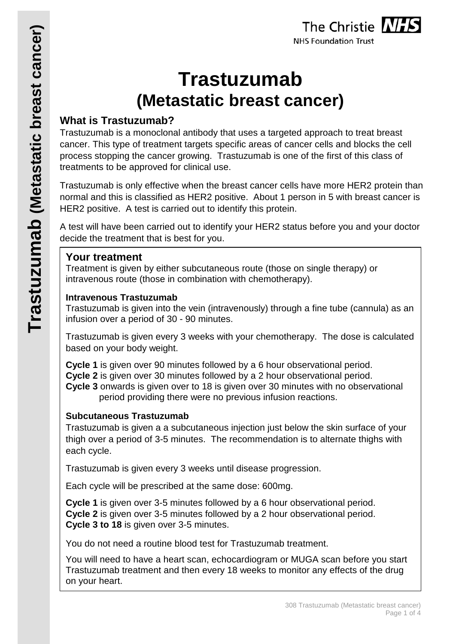# **Trastuzumab (Metastatic breast cancer)**

# **What is Trastuzumab?**

Trastuzumab is a monoclonal antibody that uses a targeted approach to treat breast cancer. This type of treatment targets specific areas of cancer cells and blocks the cell process stopping the cancer growing. Trastuzumab is one of the first of this class of treatments to be approved for clinical use.

Trastuzumab is only effective when the breast cancer cells have more HER2 protein than normal and this is classified as HER2 positive. About 1 person in 5 with breast cancer is HER2 positive. A test is carried out to identify this protein.

A test will have been carried out to identify your HER2 status before you and your doctor decide the treatment that is best for you.

# **Your treatment**

Treatment is given by either subcutaneous route (those on single therapy) or intravenous route (those in combination with chemotherapy).

#### **Intravenous Trastuzumab**

Trastuzumab is given into the vein (intravenously) through a fine tube (cannula) as an infusion over a period of 30 - 90 minutes.

Trastuzumab is given every 3 weeks with your chemotherapy. The dose is calculated based on your body weight.

**Cycle 1** is given over 90 minutes followed by a 6 hour observational period. **Cycle 2** is given over 30 minutes followed by a 2 hour observational period.

**Cycle 3** onwards is given over to 18 is given over 30 minutes with no observational period providing there were no previous infusion reactions.

# **Subcutaneous Trastuzumab**

Trastuzumab is given a a subcutaneous injection just below the skin surface of your thigh over a period of 3-5 minutes. The recommendation is to alternate thighs with each cycle.

Trastuzumab is given every 3 weeks until disease progression.

Each cycle will be prescribed at the same dose: 600mg.

**Cycle 1** is given over 3-5 minutes followed by a 6 hour observational period. **Cycle 2** is given over 3-5 minutes followed by a 2 hour observational period. **Cycle 3 to 18** is given over 3-5 minutes.

You do not need a routine blood test for Trastuzumab treatment.

You will need to have a heart scan, echocardiogram or MUGA scan before you start Trastuzumab treatment and then every 18 weeks to monitor any effects of the drug on your heart.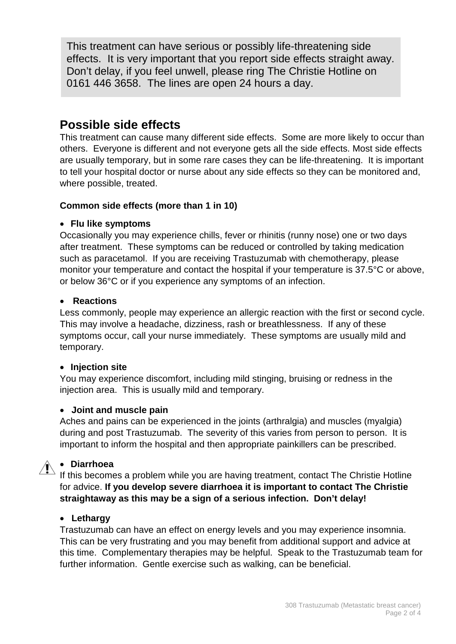This treatment can have serious or possibly life-threatening side effects. It is very important that you report side effects straight away. Don't delay, if you feel unwell, please ring The Christie Hotline on 0161 446 3658. The lines are open 24 hours a day.

# **Possible side effects**

This treatment can cause many different side effects. Some are more likely to occur than others. Everyone is different and not everyone gets all the side effects. Most side effects are usually temporary, but in some rare cases they can be life-threatening. It is important to tell your hospital doctor or nurse about any side effects so they can be monitored and, where possible, treated.

#### **Common side effects (more than 1 in 10)**

#### • **Flu like symptoms**

Occasionally you may experience chills, fever or rhinitis (runny nose) one or two days after treatment. These symptoms can be reduced or controlled by taking medication such as paracetamol. If you are receiving Trastuzumab with chemotherapy, please monitor your temperature and contact the hospital if your temperature is 37.5°C or above, or below 36°C or if you experience any symptoms of an infection.

#### • **Reactions**

Less commonly, people may experience an allergic reaction with the first or second cycle. This may involve a headache, dizziness, rash or breathlessness. If any of these symptoms occur, call your nurse immediately. These symptoms are usually mild and temporary.

#### • **Injection site**

You may experience discomfort, including mild stinging, bruising or redness in the injection area. This is usually mild and temporary.

#### • **Joint and muscle pain**

Aches and pains can be experienced in the joints (arthralgia) and muscles (myalgia) during and post Trastuzumab. The severity of this varies from person to person. It is important to inform the hospital and then appropriate painkillers can be prescribed.

# • **Diarrhoea**

If this becomes a problem while you are having treatment, contact The Christie Hotline for advice. **If you develop severe diarrhoea it is important to contact The Christie straightaway as this may be a sign of a serious infection. Don't delay!**

#### • **Lethargy**

Trastuzumab can have an effect on energy levels and you may experience insomnia. This can be very frustrating and you may benefit from additional support and advice at this time. Complementary therapies may be helpful. Speak to the Trastuzumab team for further information. Gentle exercise such as walking, can be beneficial.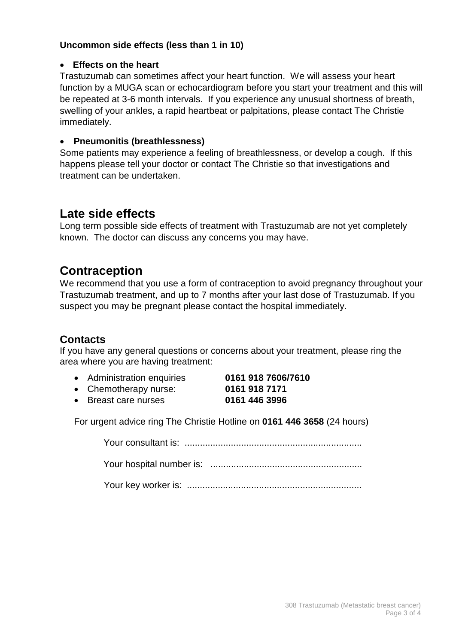#### **Uncommon side effects (less than 1 in 10)**

#### • **Effects on the heart**

Trastuzumab can sometimes affect your heart function. We will assess your heart function by a MUGA scan or echocardiogram before you start your treatment and this will be repeated at 3-6 month intervals. If you experience any unusual shortness of breath, swelling of your ankles, a rapid heartbeat or palpitations, please contact The Christie immediately.

#### • **Pneumonitis (breathlessness)**

Some patients may experience a feeling of breathlessness, or develop a cough. If this happens please tell your doctor or contact The Christie so that investigations and treatment can be undertaken.

# **Late side effects**

Long term possible side effects of treatment with Trastuzumab are not yet completely known. The doctor can discuss any concerns you may have.

# **Contraception**

We recommend that you use a form of contraception to avoid pregnancy throughout your Trastuzumab treatment, and up to 7 months after your last dose of Trastuzumab. If you suspect you may be pregnant please contact the hospital immediately.

# **Contacts**

If you have any general questions or concerns about your treatment, please ring the area where you are having treatment:

- Administration enquiries **0161 918 7606/7610**
- Chemotherapy nurse: **0161 918 7171**
- 
- Breast care nurses **0161 446 3996**

For urgent advice ring The Christie Hotline on **0161 446 3658** (24 hours)

Your consultant is: .....................................................................

Your hospital number is: ...........................................................

Your key worker is: ....................................................................